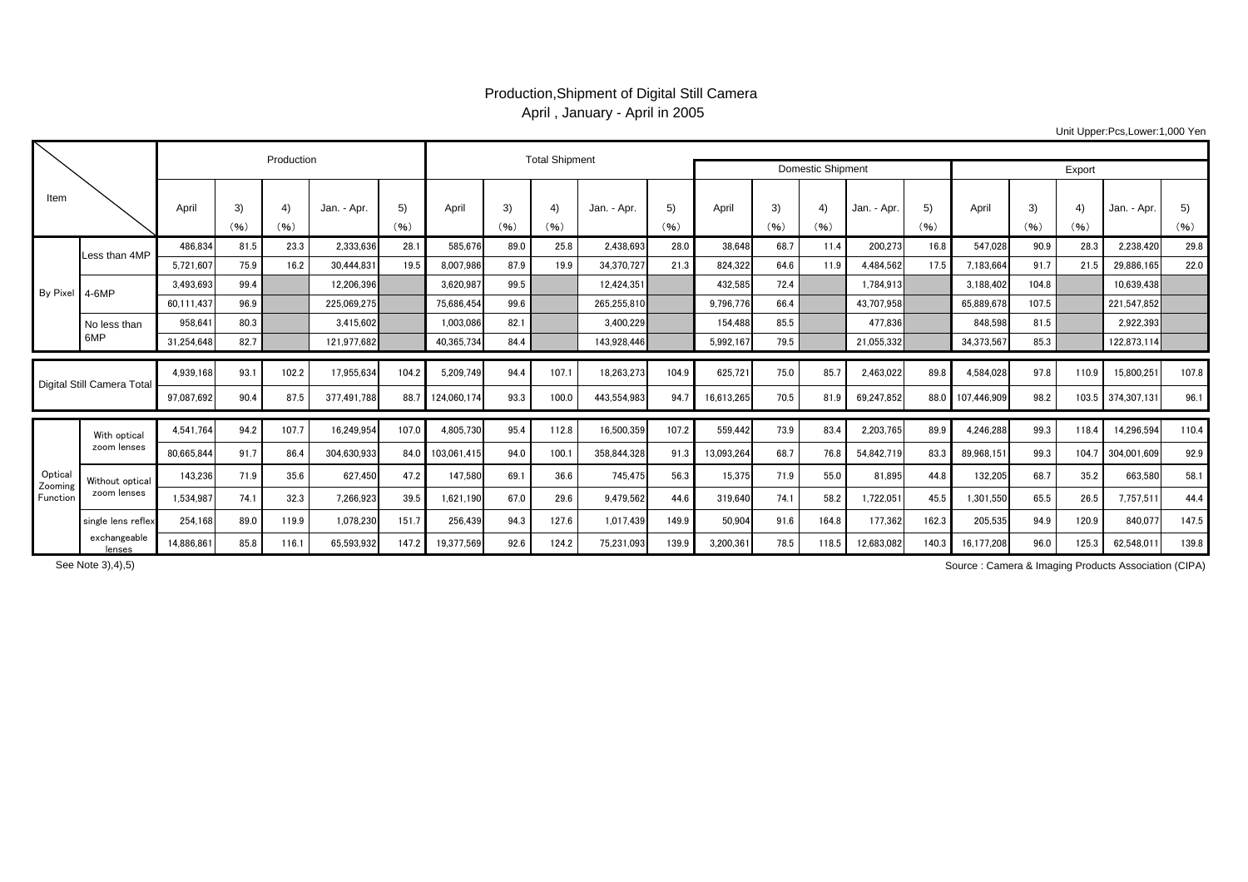## Production,Shipment of Digital Still Camera April , January - April in 2005

Unit Upper:Pcs,Lower:1,000 Yen

| Item                          |                             |            |            | Production |             |            |             | <b>Total Shipment</b> |            |             |            |            |                   |            |             |            |                  |            |                        |             |            |
|-------------------------------|-----------------------------|------------|------------|------------|-------------|------------|-------------|-----------------------|------------|-------------|------------|------------|-------------------|------------|-------------|------------|------------------|------------|------------------------|-------------|------------|
|                               |                             |            |            |            |             |            |             |                       |            |             |            |            | Domestic Shipment | Export     |             |            |                  |            |                        |             |            |
|                               |                             | April      | 3)<br>(96) | 4)<br>(96) | Jan. - Apr. | 5)<br>(96) | April       | 3)<br>(96)            | 4)<br>(96) | Jan. - Apr. | 5)<br>(96) | April      | 3)<br>(96)        | 4)<br>(96) | Jan. - Apr. | 5)<br>(96) | April            | 3)<br>(96) | $\overline{4}$<br>(96) | Jan. - Apr. | 5)<br>(96) |
| By Pixel                      | Less than 4MP               | 486,834    | 81.5       | 23.3       | 2,333,636   | 28.1       | 585,676     | 89.0                  | 25.8       | 2,438,693   | 28.0       | 38,648     | 68.7              | 11.4       | 200,273     | 16.8       | 547,028          | 90.9       | 28.3                   | 2,238,420   | 29.8       |
|                               |                             | 5,721,607  | 75.9       | 16.2       | 30.444.831  | 19.5       | 8,007,986   | 87.9                  | 19.9       | 34.370.727  | 21.3       | 824,322    | 64.6              | 11.9       | 4.484.562   | 17.5       | 7.183.664        | 91.7       | 21.5                   | 29,886,165  | 22.0       |
|                               | $4-6MP$                     | 3.493.693  | 99.4       |            | 12.206.396  |            | 3.620.987   | 99.5                  |            | 12.424.351  |            | 432.585    | 72.4              |            | 1.784.913   |            | 3.188.402        | 104.8      |                        | 10.639.438  |            |
|                               |                             | 60,111,437 | 96.9       |            | 225.069.275 |            | 75.686.454  | 99.6                  |            | 265.255.810 |            | 9.796.776  | 66.4              |            | 43.707.958  |            | 65.889.67        | 107.5      |                        | 221.547.852 |            |
|                               | No less than<br>6MP         | 958.641    | 80.3       |            | 3.415.602   |            | 1.003.086   | 82.1                  |            | 3.400.229   |            | 154.488    | 85.5              |            | 477.836     |            | 848.598          | 81.5       |                        | 2.922.393   |            |
|                               |                             | 31.254.648 | 82.7       |            | 121.977.682 |            | 40.365.734  | 84.4                  |            | 143.928.446 |            | 5,992,167  | 79.5              |            | 21,055,332  |            | 34,373,567       | 85.3       |                        | 122,873,114 |            |
|                               |                             |            | 93.        | 102.2      |             | 104.2      |             | 94.4                  | 107.1      |             | 104.9      |            | 75.0              | 85.7       |             | 89.8       |                  | 97.8       | 110.9                  |             | 107.8      |
| Digital Still Camera Total    |                             | 4,939,168  |            |            | 17,955,634  |            | 5,209,749   |                       |            | 18,263,273  |            | 625,721    |                   |            | 2,463,022   |            | 4,584,028        |            |                        | 15,800,251  |            |
|                               |                             | 97,087,692 | 90.4       | 87.5       | 377.491.788 | 88.7       | 124,060,174 | 93.3                  | 100.0      | 443.554.983 | 94.7       | 16,613,265 | 70.5              | 81.9       | 69,247,852  |            | 88.0 107.446.909 | 98.2       | 103.5                  | 374,307,131 | 96.1       |
| Optica<br>Zooming<br>Function | With optical<br>zoom lenses | 4.541.764  | 94.2       | 107.7      | 16.249.954  | 107.0      | 4.805.730   | 95.4                  | 112.8      | 16.500.359  | 107.2      | 559.442    | 73.9              | 83.4       | 2.203.765   | 89.9       | 4,246,288        | 99.3       | 118.4                  | 14.296.594  | 110.4      |
|                               |                             | 80.665.844 | 91.7       | 86.4       | 304.630.933 | 84.0       | 103.061.415 | 94.0                  | 100.       | 358.844.328 | 91.3       | 13,093,264 | 68.7              | 76.8       | 54,842,719  | 83.3       | 89.968.15        | 99.3       | 104.7                  | 304,001,609 | 92.9       |
|                               | Without optical             | 143,236    | 71.9       | 35.6       | 627.450     | 47.2       | 147,580     | 69.1                  | 36.6       | 745,475     | 56.3       | 15,375     | 71.9              | 55.0       | 81,895      | 44.8       | 132.205          | 68.7       | 35.2                   | 663.580     | 58.1       |
|                               | zoom lenses                 | 1,534,987  | 74.1       | 32.3       | 7,266,923   | 39.5       | 1,621,190   | 67.0                  | 29.6       | 9,479,562   | 44.6       | 319.640    | 74.1              | 58.2       | 1,722,051   | 45.5       | 1.301.550        | 65.5       | 26.5                   | 7,757,511   | 44.4       |
|                               | single lens reflex          | 254.168    | 89.0       | 119.9      | 1,078,230   | 151.7      | 256,439     | 94.3                  | 127.6      | 1.017.439   | 149.9      | 50.904     | 91.6              | 164.8      | 177.362     | 162.3      | 205.535          | 94.9       | 120.9                  | 840.077     | 147.5      |
|                               | exchangeable<br>lenses      | 14,886,861 | 85.8       | 116.1      | 65,593,932  | 147.2      | 19,377,569  | 92.6                  | 124.2      | 75,231,093  | 139.9      | 3,200,361  | 78.5              | 118.5      | 12,683,082  | 140.3      | 16,177,208       | 96.0       | 125.3                  | 62,548,011  | 139.8      |

See Note 3),4),5)

Source : Camera & Imaging Products Association (CIPA)